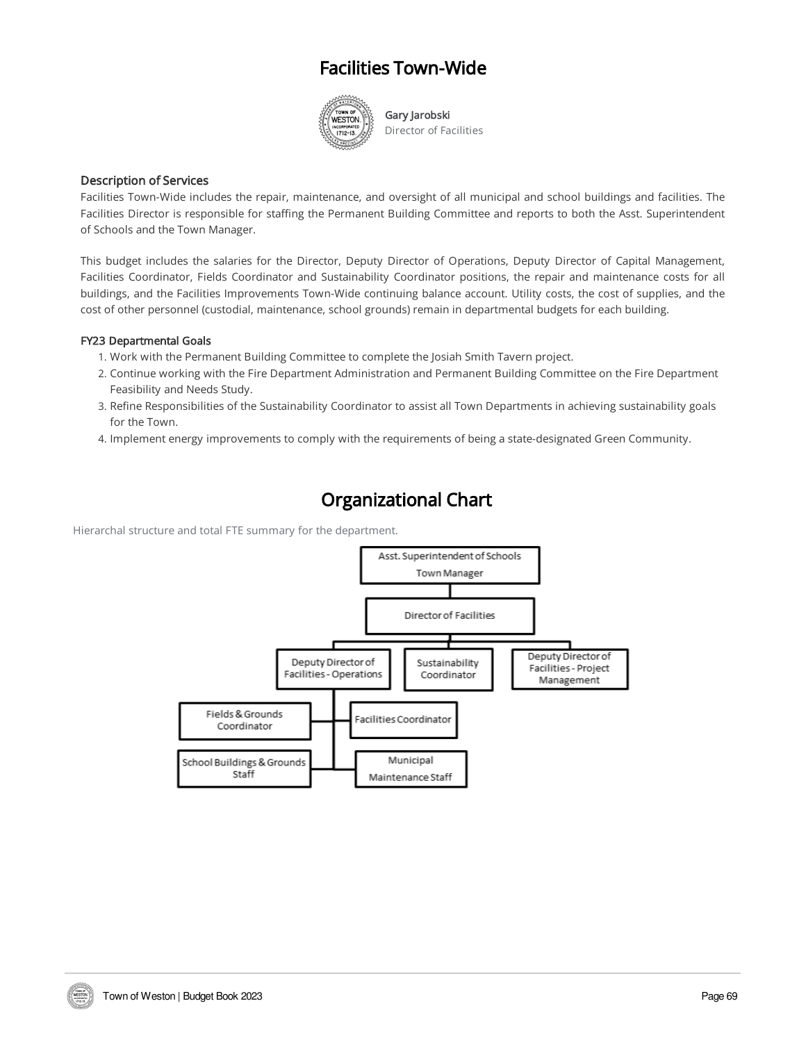## Facilities Town-Wide



Gary Jarobski Director of Facilities

### Description of Services

Facilities Town-Wide includes the repair, maintenance, and oversight of all municipal and school buildings and facilities. The Facilities Director is responsible for staffing the Permanent Building Committee and reports to both the Asst. Superintendent of Schools and the Town Manager.

This budget includes the salaries for the Director, Deputy Director of Operations, Deputy Director of Capital Management, Facilities Coordinator, Fields Coordinator and Sustainability Coordinator positions, the repair and maintenance costs for all buildings, and the Facilities Improvements Town-Wide continuing balance account. Utility costs, the cost of supplies, and the cost of other personnel (custodial, maintenance, school grounds) remain in departmental budgets for each building.

#### FY23 Departmental Goals

- 1. Work with the Permanent Building Committee to complete the Josiah Smith Tavern project.
- 2. Continue working with the Fire Department Administration and Permanent Building Committee on the Fire Department Feasibility and Needs Study.
- 3. Refine Responsibilities of the Sustainability Coordinator to assist all Town Departments in achieving sustainability goals for the Town.
- 4. Implement energy improvements to comply with the requirements of being a state-designated Green Community.

## Organizational Chart

Hierarchal structure and total FTE summary for the department.

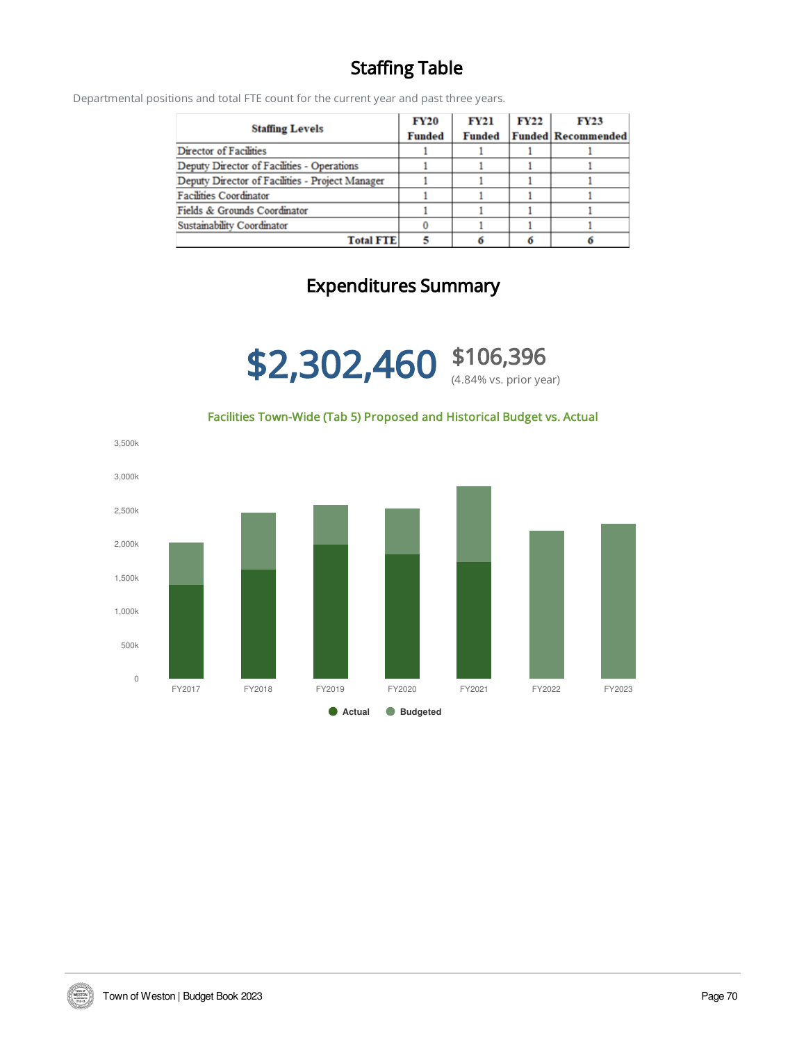# Staffing Table

Departmental positions and total FTE count for the current year and past three years.

| <b>Staffing Levels</b>                          | <b>FY20</b><br><b>Funded</b> | <b>FY21</b><br><b>Funded</b> | <b>FY22</b> | <b>FY23</b><br><b>Funded Recommended</b> |
|-------------------------------------------------|------------------------------|------------------------------|-------------|------------------------------------------|
| Director of Facilities                          |                              |                              |             |                                          |
| Deputy Director of Facilities - Operations      |                              |                              |             |                                          |
| Deputy Director of Facilities - Project Manager |                              |                              |             |                                          |
| <b>Facilities Coordinator</b>                   |                              |                              |             |                                          |
| Fields & Grounds Coordinator                    |                              |                              |             |                                          |
| Sustainability Coordinator                      |                              |                              |             |                                          |
| <b>Total FTE</b>                                |                              |                              |             |                                          |

# Expenditures Summary



### Facilities Town-Wide (Tab 5) Proposed and Historical Budget vs. Actual



WESTON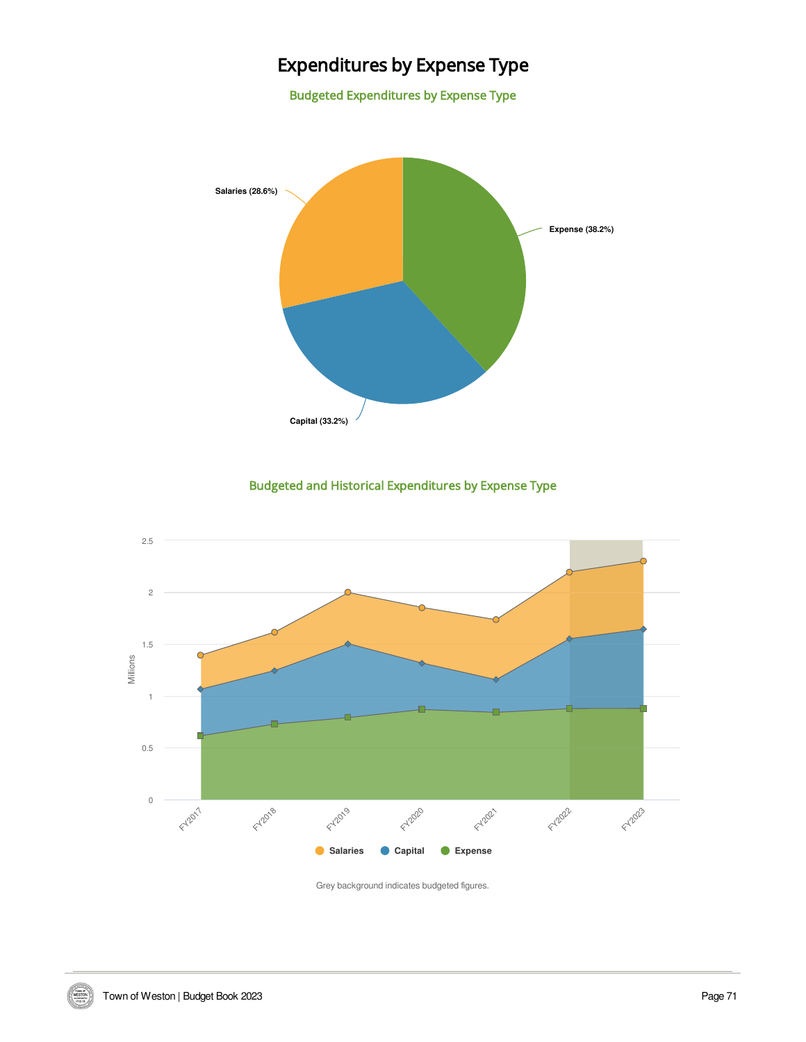# Expenditures by Expense Type

Budgeted Expenditures by Expense Type



Budgeted and Historical Expenditures by Expense Type



Grey background indicates budgeted figures.

VIDEO D'ALESTON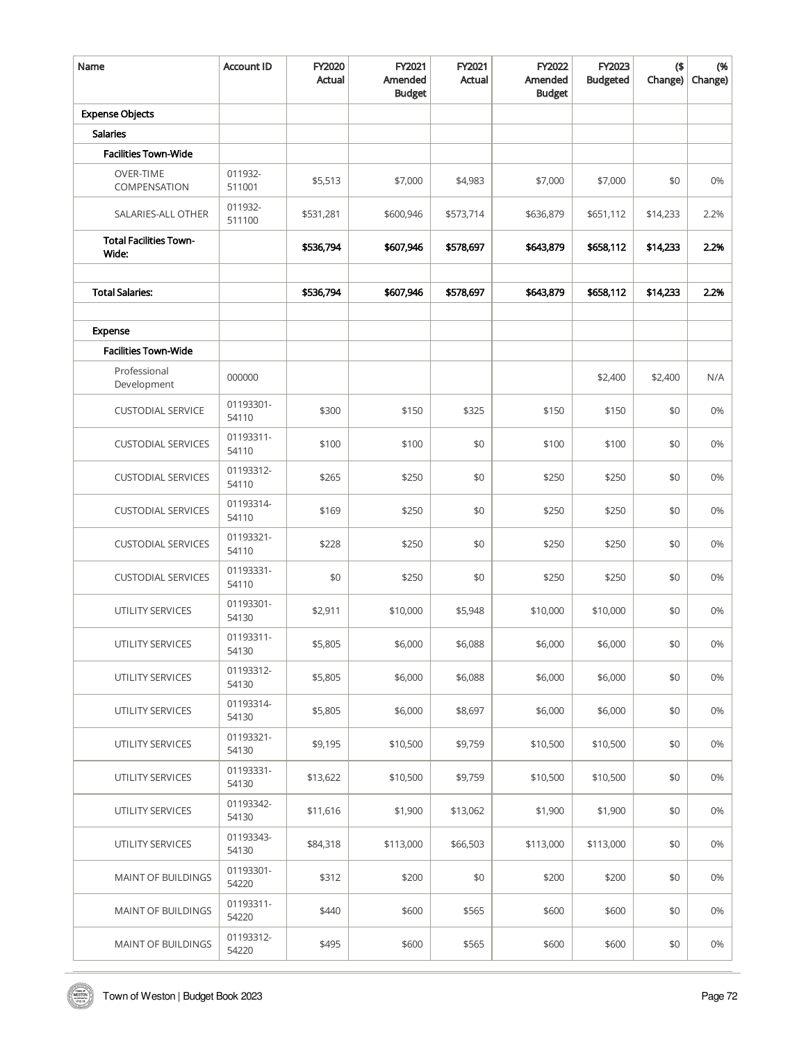| Name                                   | <b>Account ID</b>  | FY2020<br>Actual | FY2021<br>Amended<br><b>Budget</b> | FY2021<br>Actual | FY2022<br>Amended<br><b>Budget</b> | FY2023<br><b>Budgeted</b> | $($ \$<br>Change) | (%<br>Change) |
|----------------------------------------|--------------------|------------------|------------------------------------|------------------|------------------------------------|---------------------------|-------------------|---------------|
| <b>Expense Objects</b>                 |                    |                  |                                    |                  |                                    |                           |                   |               |
| <b>Salaries</b>                        |                    |                  |                                    |                  |                                    |                           |                   |               |
| <b>Facilities Town-Wide</b>            |                    |                  |                                    |                  |                                    |                           |                   |               |
| <b>OVER-TIME</b><br>COMPENSATION       | 011932-<br>511001  | \$5,513          | \$7,000                            | \$4,983          | \$7,000                            | \$7,000                   | \$0               | 0%            |
| SALARIES-ALL OTHER                     | 011932-<br>511100  | \$531,281        | \$600,946                          | \$573,714        | \$636,879                          | \$651,112                 | \$14,233          | 2.2%          |
| <b>Total Facilities Town-</b><br>Wide: |                    | \$536,794        | \$607,946                          | \$578,697        | \$643,879                          | \$658,112                 | \$14,233          | 2.2%          |
| <b>Total Salaries:</b>                 |                    | \$536,794        | \$607,946                          | \$578,697        | \$643,879                          | \$658,112                 | \$14,233          | 2.2%          |
|                                        |                    |                  |                                    |                  |                                    |                           |                   |               |
| Expense                                |                    |                  |                                    |                  |                                    |                           |                   |               |
| <b>Facilities Town-Wide</b>            |                    |                  |                                    |                  |                                    |                           |                   |               |
| Professional<br>Development            | 000000             |                  |                                    |                  |                                    | \$2,400                   | \$2,400           | N/A           |
| <b>CUSTODIAL SERVICE</b>               | 01193301-<br>54110 | \$300            | \$150                              | \$325            | \$150                              | \$150                     | \$0               | 0%            |
| <b>CUSTODIAL SERVICES</b>              | 01193311-<br>54110 | \$100            | \$100                              | \$0              | \$100                              | \$100                     | \$0               | 0%            |
| <b>CUSTODIAL SERVICES</b>              | 01193312-<br>54110 | \$265            | \$250                              | \$0              | \$250                              | \$250                     | \$0               | 0%            |
| <b>CUSTODIAL SERVICES</b>              | 01193314-<br>54110 | \$169            | \$250                              | \$0              | \$250                              | \$250                     | \$0               | 0%            |
| <b>CUSTODIAL SERVICES</b>              | 01193321-<br>54110 | \$228            | \$250                              | \$0              | \$250                              | \$250                     | \$0               | 0%            |
| <b>CUSTODIAL SERVICES</b>              | 01193331-<br>54110 | \$0              | \$250                              | \$0              | \$250                              | \$250                     | \$0               | 0%            |
| UTILITY SERVICES                       | 01193301-<br>54130 | \$2,911          | \$10,000                           | \$5,948          | \$10,000                           | \$10,000                  | \$0               | 0%            |
| UTILITY SERVICES                       | 01193311-<br>54130 | \$5,805          | \$6,000                            | \$6,088          | \$6,000                            | \$6,000                   | \$0               | 0%            |
| UTILITY SERVICES                       | 01193312-<br>54130 | \$5,805          | \$6,000                            | \$6,088          | \$6,000                            | \$6,000                   | \$0               | 0%            |
| UTILITY SERVICES                       | 01193314-<br>54130 | \$5,805          | \$6,000                            | \$8,697          | \$6,000                            | \$6,000                   | \$0               | 0%            |
| UTILITY SERVICES                       | 01193321-<br>54130 | \$9,195          | \$10,500                           | \$9,759          | \$10,500                           | \$10,500                  | \$0               | 0%            |
| UTILITY SERVICES                       | 01193331-<br>54130 | \$13,622         | \$10,500                           | \$9,759          | \$10,500                           | \$10,500                  | \$0               | 0%            |
| UTILITY SERVICES                       | 01193342-<br>54130 | \$11,616         | \$1,900                            | \$13,062         | \$1,900                            | \$1,900                   | \$0               | 0%            |
| UTILITY SERVICES                       | 01193343-<br>54130 | \$84,318         | \$113,000                          | \$66,503         | \$113,000                          | \$113,000                 | \$0               | 0%            |
| <b>MAINT OF BUILDINGS</b>              | 01193301-<br>54220 | \$312            | \$200                              | \$0              | \$200                              | \$200                     | \$0               | 0%            |
| MAINT OF BUILDINGS                     | 01193311-<br>54220 | \$440            | \$600                              | \$565            | \$600                              | \$600                     | \$0               | 0%            |
| MAINT OF BUILDINGS                     | 01193312-<br>54220 | \$495            | \$600                              | \$565            | \$600                              | \$600                     | \$0               | 0%            |

WESTON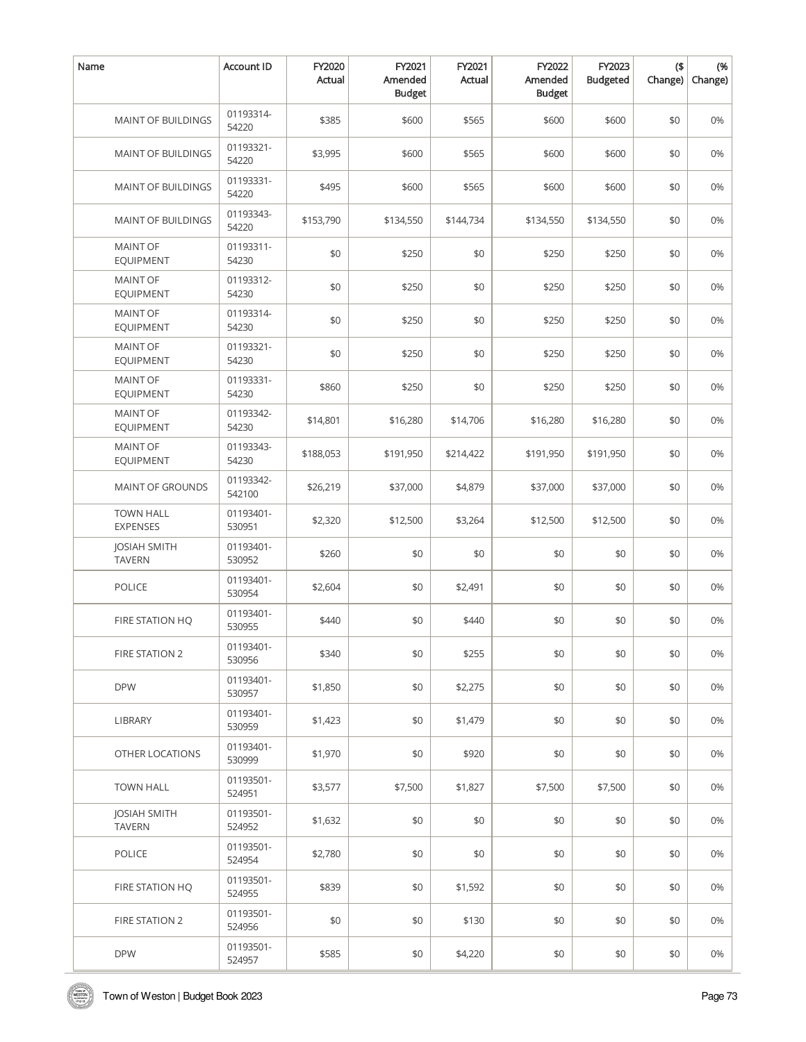| Name                                 | Account ID          | FY2020<br>Actual | FY2021<br>Amended<br><b>Budget</b> | FY2021<br>Actual | FY2022<br>Amended<br><b>Budget</b> | FY2023<br><b>Budgeted</b> | $($ \$<br>Change) | (%<br>Change) |
|--------------------------------------|---------------------|------------------|------------------------------------|------------------|------------------------------------|---------------------------|-------------------|---------------|
| MAINT OF BUILDINGS                   | 01193314-<br>54220  | \$385            | \$600                              | \$565            | \$600                              | \$600                     | \$0               | 0%            |
| MAINT OF BUILDINGS                   | 01193321-<br>54220  | \$3,995          | \$600                              | \$565            | \$600                              | \$600                     | \$0               | 0%            |
| MAINT OF BUILDINGS                   | 01193331-<br>54220  | \$495            | \$600                              | \$565            | \$600                              | \$600                     | \$0               | 0%            |
| MAINT OF BUILDINGS                   | 01193343-<br>54220  | \$153,790        | \$134,550                          | \$144,734        | \$134,550                          | \$134,550                 | \$0               | 0%            |
| <b>MAINT OF</b><br><b>EQUIPMENT</b>  | 01193311-<br>54230  | \$0              | \$250                              | \$0              | \$250                              | \$250                     | \$0               | 0%            |
| <b>MAINT OF</b><br><b>EQUIPMENT</b>  | 01193312-<br>54230  | \$0              | \$250                              | \$0              | \$250                              | \$250                     | \$0               | 0%            |
| <b>MAINT OF</b><br><b>EQUIPMENT</b>  | 01193314-<br>54230  | \$0              | \$250                              | \$0              | \$250                              | \$250                     | \$0               | 0%            |
| <b>MAINT OF</b><br><b>EQUIPMENT</b>  | 01193321-<br>54230  | \$0              | \$250                              | \$0              | \$250                              | \$250                     | \$0               | 0%            |
| <b>MAINT OF</b><br><b>EQUIPMENT</b>  | 01193331-<br>54230  | \$860            | \$250                              | \$0              | \$250                              | \$250                     | \$0               | 0%            |
| <b>MAINT OF</b><br><b>EQUIPMENT</b>  | 01193342-<br>54230  | \$14,801         | \$16,280                           | \$14,706         | \$16,280                           | \$16,280                  | \$0               | 0%            |
| <b>MAINT OF</b><br><b>EQUIPMENT</b>  | 01193343-<br>54230  | \$188,053        | \$191,950                          | \$214,422        | \$191,950                          | \$191,950                 | \$0               | 0%            |
| MAINT OF GROUNDS                     | 01193342-<br>542100 | \$26,219         | \$37,000                           | \$4,879          | \$37,000                           | \$37,000                  | \$0               | 0%            |
| <b>TOWN HALL</b><br><b>EXPENSES</b>  | 01193401-<br>530951 | \$2,320          | \$12,500                           | \$3,264          | \$12,500                           | \$12,500                  | \$0               | 0%            |
| <b>JOSIAH SMITH</b><br><b>TAVERN</b> | 01193401-<br>530952 | \$260            | \$0                                | \$0              | \$0                                | \$0                       | \$0               | 0%            |
| <b>POLICE</b>                        | 01193401-<br>530954 | \$2,604          | \$0                                | \$2,491          | \$0                                | \$0                       | \$0               | 0%            |
| FIRE STATION HQ                      | 01193401-<br>530955 | \$440            | \$0                                | \$440            | \$0                                | \$0                       | \$0               | 0%            |
| <b>FIRE STATION 2</b>                | 01193401-<br>530956 | \$340            | \$0                                | \$255            | \$0                                | \$0                       | \$0               | 0%            |
| <b>DPW</b>                           | 01193401-<br>530957 | \$1,850          | \$0                                | \$2,275          | \$0                                | \$0                       | \$0               | 0%            |
| LIBRARY                              | 01193401-<br>530959 | \$1,423          | \$0                                | \$1,479          | \$0                                | \$0                       | \$0               | 0%            |
| OTHER LOCATIONS                      | 01193401-<br>530999 | \$1,970          | \$0                                | \$920            | \$0                                | \$0                       | \$0               | 0%            |
| <b>TOWN HALL</b>                     | 01193501-<br>524951 | \$3,577          | \$7,500                            | \$1,827          | \$7,500                            | \$7,500                   | \$0               | 0%            |
| <b>JOSIAH SMITH</b><br><b>TAVERN</b> | 01193501-<br>524952 | \$1,632          | \$0                                | \$0              | \$0                                | \$0                       | \$0               | 0%            |
| <b>POLICE</b>                        | 01193501-<br>524954 | \$2,780          | \$0                                | \$0              | \$0                                | \$0                       | \$0               | 0%            |
| FIRE STATION HQ                      | 01193501-<br>524955 | \$839            | \$0                                | \$1,592          | \$0                                | \$0                       | \$0               | 0%            |
| FIRE STATION 2                       | 01193501-<br>524956 | \$0              | \$0                                | \$130            | \$0                                | \$0                       | \$0               | 0%            |
| <b>DPW</b>                           | 01193501-<br>524957 | \$585            | \$0                                | \$4,220          | \$0                                | \$0                       | \$0               | 0%            |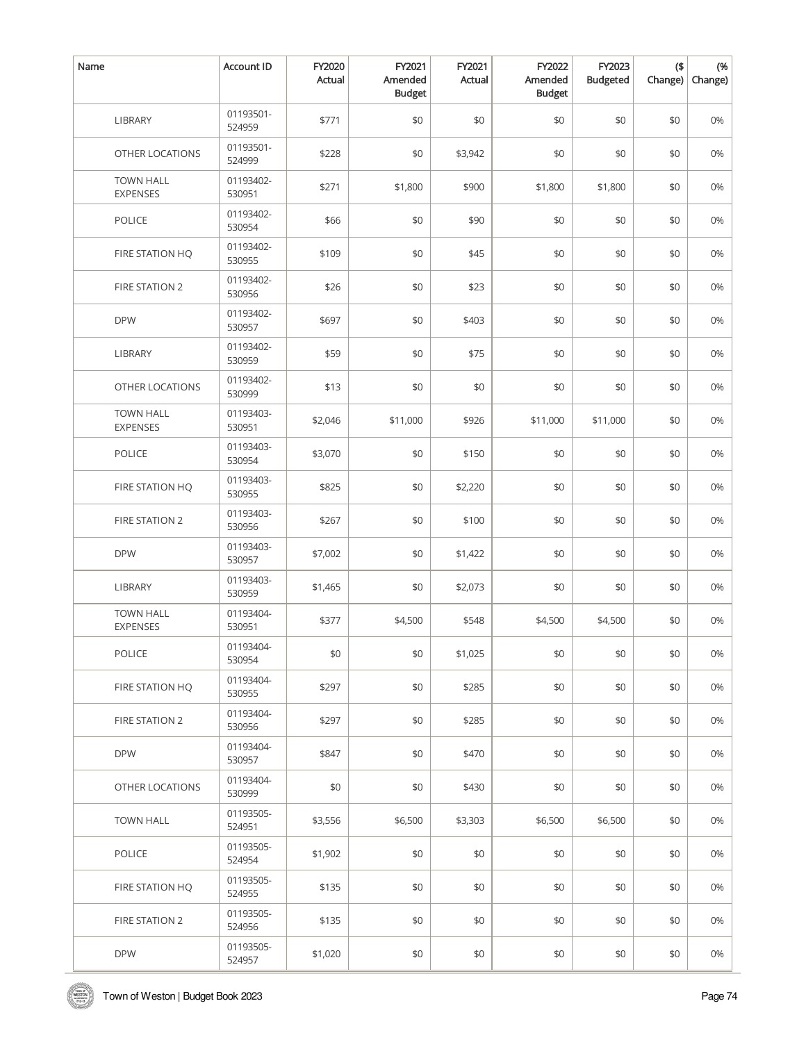| Name                                | <b>Account ID</b>   | FY2020<br>Actual | FY2021<br>Amended<br><b>Budget</b> | FY2021<br>Actual | FY2022<br>Amended<br><b>Budget</b> | FY2023<br><b>Budgeted</b> | $($ \$<br>Change) | (%<br>Change) |
|-------------------------------------|---------------------|------------------|------------------------------------|------------------|------------------------------------|---------------------------|-------------------|---------------|
| <b>LIBRARY</b>                      | 01193501-<br>524959 | \$771            | \$0                                | \$0              | \$0                                | \$0                       | \$0               | 0%            |
| OTHER LOCATIONS                     | 01193501-<br>524999 | \$228            | \$0                                | \$3,942          | \$0                                | \$0                       | \$0               | 0%            |
| <b>TOWN HALL</b><br><b>EXPENSES</b> | 01193402-<br>530951 | \$271            | \$1,800                            | \$900            | \$1,800                            | \$1,800                   | \$0               | 0%            |
| POLICE                              | 01193402-<br>530954 | \$66             | \$0                                | \$90             | \$0                                | \$0                       | \$0               | 0%            |
| FIRE STATION HQ                     | 01193402-<br>530955 | \$109            | \$0                                | \$45             | \$0                                | \$0                       | \$0               | 0%            |
| FIRE STATION 2                      | 01193402-<br>530956 | \$26             | \$0                                | \$23             | \$0                                | \$0                       | \$0               | 0%            |
| <b>DPW</b>                          | 01193402-<br>530957 | \$697            | \$0                                | \$403            | \$0                                | \$0                       | \$0               | 0%            |
| <b>LIBRARY</b>                      | 01193402-<br>530959 | \$59             | \$0                                | \$75             | \$0                                | \$0                       | \$0               | 0%            |
| OTHER LOCATIONS                     | 01193402-<br>530999 | \$13             | \$0                                | \$0              | \$0                                | \$0                       | \$0               | 0%            |
| <b>TOWN HALL</b><br><b>EXPENSES</b> | 01193403-<br>530951 | \$2,046          | \$11,000                           | \$926            | \$11,000                           | \$11,000                  | \$0               | 0%            |
| POLICE                              | 01193403-<br>530954 | \$3,070          | \$0                                | \$150            | \$0                                | \$0                       | \$0               | 0%            |
| FIRE STATION HQ                     | 01193403-<br>530955 | \$825            | \$0                                | \$2,220          | \$0                                | \$0                       | \$0               | 0%            |
| FIRE STATION 2                      | 01193403-<br>530956 | \$267            | \$0                                | \$100            | \$0                                | \$0                       | \$0               | 0%            |
| <b>DPW</b>                          | 01193403-<br>530957 | \$7,002          | \$0                                | \$1,422          | \$0                                | \$0                       | \$0               | 0%            |
| LIBRARY                             | 01193403-<br>530959 | \$1,465          | \$0                                | \$2,073          | \$0                                | \$0                       | \$0               | 0%            |
| <b>TOWN HALL</b><br><b>EXPENSES</b> | 01193404-<br>530951 | \$377            | \$4,500                            | \$548            | \$4,500                            | \$4,500                   | \$0               | 0%            |
| POLICE                              | 01193404-<br>530954 | \$0              | \$0                                | \$1,025          | \$0                                | \$0                       | \$0               | 0%            |
| FIRE STATION HQ                     | 01193404-<br>530955 | \$297            | \$0                                | \$285            | \$0                                | \$0                       | \$0               | 0%            |
| FIRE STATION 2                      | 01193404-<br>530956 | \$297            | \$0                                | \$285            | \$0                                | \$0                       | \$0               | 0%            |
| <b>DPW</b>                          | 01193404-<br>530957 | \$847            | \$0                                | \$470            | \$0                                | \$0                       | \$0               | 0%            |
| OTHER LOCATIONS                     | 01193404-<br>530999 | \$0              | \$0                                | \$430            | \$0                                | \$0                       | \$0               | 0%            |
| <b>TOWN HALL</b>                    | 01193505-<br>524951 | \$3,556          | \$6,500                            | \$3,303          | \$6,500                            | \$6,500                   | \$0               | 0%            |
| <b>POLICE</b>                       | 01193505-<br>524954 | \$1,902          | \$0                                | \$0              | \$0                                | \$0                       | \$0               | 0%            |
| FIRE STATION HQ                     | 01193505-<br>524955 | \$135            | \$0                                | \$0              | \$0                                | \$0                       | \$0               | 0%            |
| FIRE STATION 2                      | 01193505-<br>524956 | \$135            | \$0                                | \$0              | \$0                                | \$0                       | \$0               | 0%            |
| <b>DPW</b>                          | 01193505-<br>524957 | \$1,020          | \$0                                | \$0              | \$0                                | \$0                       | \$0               | 0%            |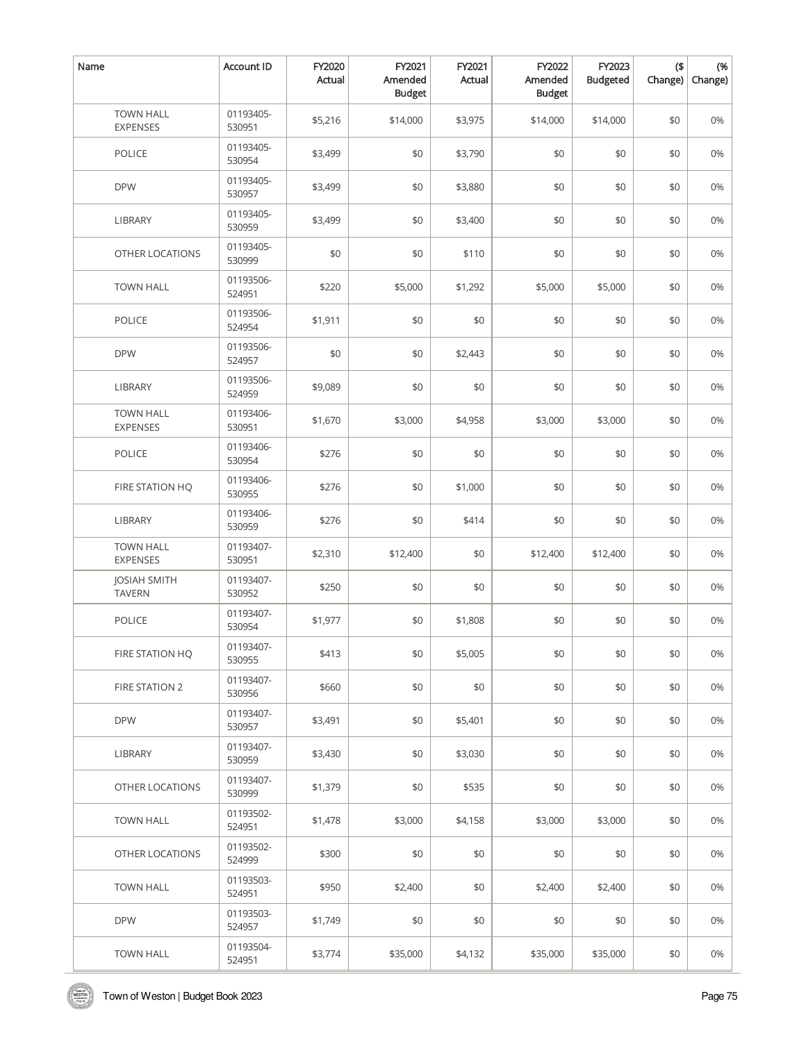| Name                                 | <b>Account ID</b>   | FY2020<br>Actual | FY2021<br>Amended<br><b>Budget</b> | FY2021<br>Actual | FY2022<br>Amended<br><b>Budget</b> | FY2023<br><b>Budgeted</b> | $($ \$<br>Change) | (%<br>Change) |
|--------------------------------------|---------------------|------------------|------------------------------------|------------------|------------------------------------|---------------------------|-------------------|---------------|
| <b>TOWN HALL</b><br>EXPENSES         | 01193405-<br>530951 | \$5,216          | \$14,000                           | \$3,975          | \$14,000                           | \$14,000                  | \$0               | 0%            |
| <b>POLICE</b>                        | 01193405-<br>530954 | \$3,499          | \$0                                | \$3,790          | \$0                                | \$0                       | \$0               | 0%            |
| <b>DPW</b>                           | 01193405-<br>530957 | \$3,499          | \$0                                | \$3,880          | \$0                                | \$0                       | \$0               | 0%            |
| <b>LIBRARY</b>                       | 01193405-<br>530959 | \$3,499          | \$0                                | \$3,400          | \$0                                | \$0                       | \$0               | 0%            |
| OTHER LOCATIONS                      | 01193405-<br>530999 | \$0              | \$0                                | \$110            | \$0                                | \$0                       | \$0               | 0%            |
| <b>TOWN HALL</b>                     | 01193506-<br>524951 | \$220            | \$5,000                            | \$1,292          | \$5,000                            | \$5,000                   | \$0               | 0%            |
| POLICE                               | 01193506-<br>524954 | \$1,911          | \$0                                | \$0              | \$0                                | \$0                       | \$0               | 0%            |
| <b>DPW</b>                           | 01193506-<br>524957 | \$0              | \$0                                | \$2,443          | \$0                                | \$0                       | \$0               | 0%            |
| LIBRARY                              | 01193506-<br>524959 | \$9,089          | \$0                                | \$0              | \$0                                | \$0                       | \$0               | 0%            |
| <b>TOWN HALL</b><br>EXPENSES         | 01193406-<br>530951 | \$1,670          | \$3,000                            | \$4,958          | \$3,000                            | \$3,000                   | \$0               | 0%            |
| <b>POLICE</b>                        | 01193406-<br>530954 | \$276            | \$0                                | \$0              | \$0                                | \$0                       | \$0               | 0%            |
| FIRE STATION HQ                      | 01193406-<br>530955 | \$276            | \$0                                | \$1,000          | \$0                                | \$0                       | \$0               | 0%            |
| LIBRARY                              | 01193406-<br>530959 | \$276            | \$0                                | \$414            | \$0                                | \$0                       | \$0               | 0%            |
| <b>TOWN HALL</b><br><b>EXPENSES</b>  | 01193407-<br>530951 | \$2,310          | \$12,400                           | \$0              | \$12,400                           | \$12,400                  | \$0               | 0%            |
| <b>JOSIAH SMITH</b><br><b>TAVERN</b> | 01193407-<br>530952 | \$250            | \$0                                | \$0              | \$0                                | \$0                       | \$0               | 0%            |
| <b>POLICE</b>                        | 01193407-<br>530954 | \$1,977          | \$0                                | \$1,808          | \$0                                | \$0                       | \$0               | 0%            |
| FIRE STATION HQ                      | 01193407-<br>530955 | \$413            | \$0                                | \$5,005          | \$0                                | \$0                       | \$0               | 0%            |
| <b>FIRE STATION 2</b>                | 01193407-<br>530956 | \$660            | \$0                                | \$0              | \$0                                | \$0                       | \$0               | 0%            |
| <b>DPW</b>                           | 01193407-<br>530957 | \$3,491          | \$0                                | \$5,401          | \$0                                | \$0                       | \$0               | 0%            |
| LIBRARY                              | 01193407-<br>530959 | \$3,430          | \$0                                | \$3,030          | \$0                                | \$0                       | \$0               | 0%            |
| OTHER LOCATIONS                      | 01193407-<br>530999 | \$1,379          | \$0                                | \$535            | \$0                                | \$0                       | \$0               | 0%            |
| <b>TOWN HALL</b>                     | 01193502-<br>524951 | \$1,478          | \$3,000                            | \$4,158          | \$3,000                            | \$3,000                   | \$0               | 0%            |
| OTHER LOCATIONS                      | 01193502-<br>524999 | \$300            | \$0                                | \$0              | \$0                                | \$0                       | \$0               | 0%            |
| <b>TOWN HALL</b>                     | 01193503-<br>524951 | \$950            | \$2,400                            | \$0              | \$2,400                            | \$2,400                   | \$0               | 0%            |
| <b>DPW</b>                           | 01193503-<br>524957 | \$1,749          | \$0                                | \$0              | \$0                                | \$0                       | \$0               | 0%            |
| <b>TOWN HALL</b>                     | 01193504-<br>524951 | \$3,774          | \$35,000                           | \$4,132          | \$35,000                           | \$35,000                  | \$0               | 0%            |

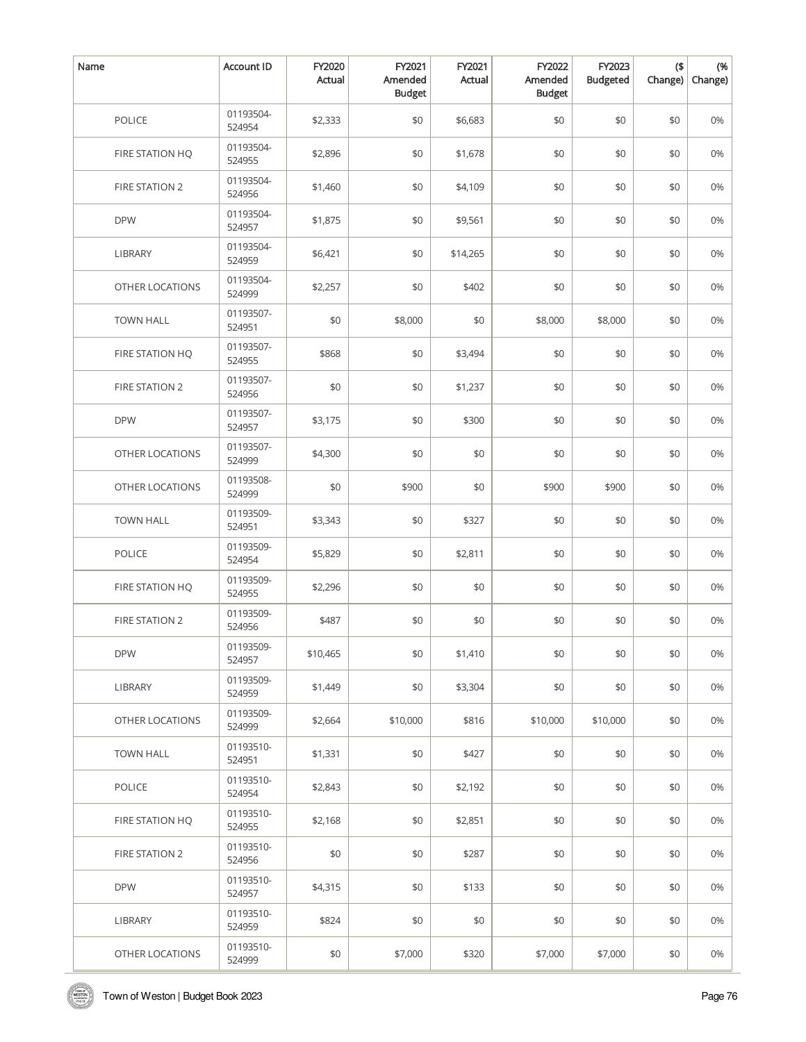| Name                  | Account ID          | FY2020<br>Actual | FY2021<br>Amended<br><b>Budget</b> | FY2021<br>Actual | FY2022<br>Amended<br><b>Budget</b> | FY2023<br><b>Budgeted</b> | $($ \$<br>Change) | (%<br>Change) |
|-----------------------|---------------------|------------------|------------------------------------|------------------|------------------------------------|---------------------------|-------------------|---------------|
| <b>POLICE</b>         | 01193504-<br>524954 | \$2,333          | \$0                                | \$6,683          | \$0                                | \$0                       | \$0               | 0%            |
| FIRE STATION HQ       | 01193504-<br>524955 | \$2,896          | \$0                                | \$1,678          | \$0                                | \$0                       | \$0               | 0%            |
| FIRE STATION 2        | 01193504-<br>524956 | \$1,460          | \$0                                | \$4,109          | \$0                                | \$0                       | \$0               | 0%            |
| <b>DPW</b>            | 01193504-<br>524957 | \$1,875          | \$0                                | \$9,561          | \$0                                | \$0                       | \$0               | 0%            |
| <b>LIBRARY</b>        | 01193504-<br>524959 | \$6,421          | \$0                                | \$14,265         | \$0                                | \$0                       | \$0               | 0%            |
| OTHER LOCATIONS       | 01193504-<br>524999 | \$2,257          | \$0                                | \$402            | \$0                                | \$0                       | \$0               | 0%            |
| <b>TOWN HALL</b>      | 01193507-<br>524951 | \$0              | \$8,000                            | \$0              | \$8,000                            | \$8,000                   | \$0               | 0%            |
| FIRE STATION HQ       | 01193507-<br>524955 | \$868            | \$0                                | \$3,494          | \$0                                | \$0                       | \$0               | 0%            |
| <b>FIRE STATION 2</b> | 01193507-<br>524956 | \$0              | \$0                                | \$1,237          | \$0                                | \$0                       | \$0               | 0%            |
| <b>DPW</b>            | 01193507-<br>524957 | \$3,175          | \$0                                | \$300            | \$0                                | \$0                       | \$0               | 0%            |
| OTHER LOCATIONS       | 01193507-<br>524999 | \$4,300          | \$0                                | \$0              | \$0                                | \$0                       | \$0               | 0%            |
| OTHER LOCATIONS       | 01193508-<br>524999 | \$0              | \$900                              | \$0              | \$900                              | \$900                     | \$0               | 0%            |
| <b>TOWN HALL</b>      | 01193509-<br>524951 | \$3,343          | \$0                                | \$327            | \$0                                | \$0                       | \$0               | 0%            |
| POLICE                | 01193509-<br>524954 | \$5,829          | \$0                                | \$2,811          | \$0                                | \$0                       | \$0               | 0%            |
| FIRE STATION HQ       | 01193509-<br>524955 | \$2,296          | \$0                                | \$0              | \$0                                | \$0                       | \$0               | 0%            |
| FIRE STATION 2        | 01193509-<br>524956 | \$487            | \$0                                | \$0              | \$0                                | \$0                       | \$0               | 0%            |
| <b>DPW</b>            | 01193509-<br>524957 | \$10,465         | \$0                                | \$1,410          | \$0                                | \$0                       | \$0               | 0%            |
| <b>LIBRARY</b>        | 01193509-<br>524959 | \$1,449          | \$0                                | \$3,304          | \$0                                | \$0                       | \$0               | 0%            |
| OTHER LOCATIONS       | 01193509-<br>524999 | \$2,664          | \$10,000                           | \$816            | \$10,000                           | \$10,000                  | \$0               | 0%            |
| <b>TOWN HALL</b>      | 01193510-<br>524951 | \$1,331          | \$0                                | \$427            | \$0                                | \$0                       | \$0               | 0%            |
| <b>POLICE</b>         | 01193510-<br>524954 | \$2,843          | \$0                                | \$2,192          | \$0                                | \$0                       | \$0               | 0%            |
| FIRE STATION HQ       | 01193510-<br>524955 | \$2,168          | \$0                                | \$2,851          | \$0                                | \$0                       | \$0               | 0%            |
| FIRE STATION 2        | 01193510-<br>524956 | \$0              | \$0                                | \$287            | \$0                                | \$0                       | \$0               | 0%            |
| <b>DPW</b>            | 01193510-<br>524957 | \$4,315          | \$0                                | \$133            | \$0                                | \$0                       | \$0               | 0%            |
| LIBRARY               | 01193510-<br>524959 | \$824            | \$0                                | \$0              | \$0                                | \$0                       | \$0               | 0%            |
| OTHER LOCATIONS       | 01193510-<br>524999 | \$0              | \$7,000                            | \$320            | \$7,000                            | \$7,000                   | \$0               | 0%            |